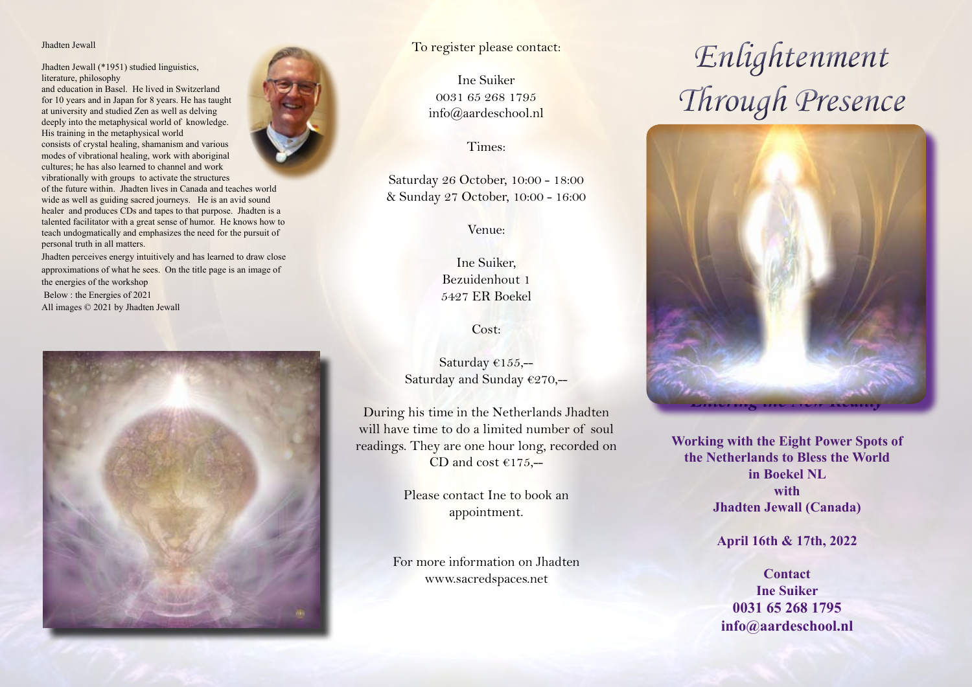#### Jhadten Jewall

Jhadten Jewall (\*1951) studied linguistics, literature, philosophy

and education in Basel. He lived in Switzerland for 10 years and in Japan for 8 years. He has taught at university and studied Zen as well as delving deeply into the metaphysical world of knowledge. His training in the metaphysical world consists of crystal healing, shamanism and various modes of vibrational healing, work with aboriginal cultures; he has also learned to channel and work vibrationally with groups to activate the structures of the future within. Jhadten lives in Canada and teaches world wide as well as guiding sacred journeys. He is an avid sound

healer and produces CDs and tapes to that purpose. Jhadten is a talented facilitator with a great sense of humor. He knows how to teach undogmatically and emphasizes the need for the pursuit of personal truth in all matters.

Jhadten perceives energy intuitively and has learned to draw close approximations of what he sees. On the title page is an image of the energies of the workshop Below : the Energies of 2021

All images © 2021 by Jhadten Jewall





### To register please contact:

Ine Suiker 0031 65 268 1795 info@aardeschool.nl

Times:

Saturday 26 October, 10:00 - 18:00 & Sunday 27 October, 10:00 - 16:00

Venue:

Ine Suiker, Bezuidenhout 1 5427 ER Boekel

Cost:

Saturday €155,-- Saturday and Sunday €270,--

During his time in the Netherlands Jhadten will have time to do a limited number of soul readings. They are one hour long, recorded on CD and cost  $€175, -$ 

> Please contact Ine to book an appointment.

For more information on Jhadten www.sacredspaces.net

# *Enlightenment Through Presence*



**Working with the Eight Power Spots of the Netherlands to Bless the World in Boekel NL with Jhadten Jewall (Canada)** 

**April 16th & 17th, 2022**

**Contact Ine Suiker 0031 65 268 1795 info@aardeschool.nl**